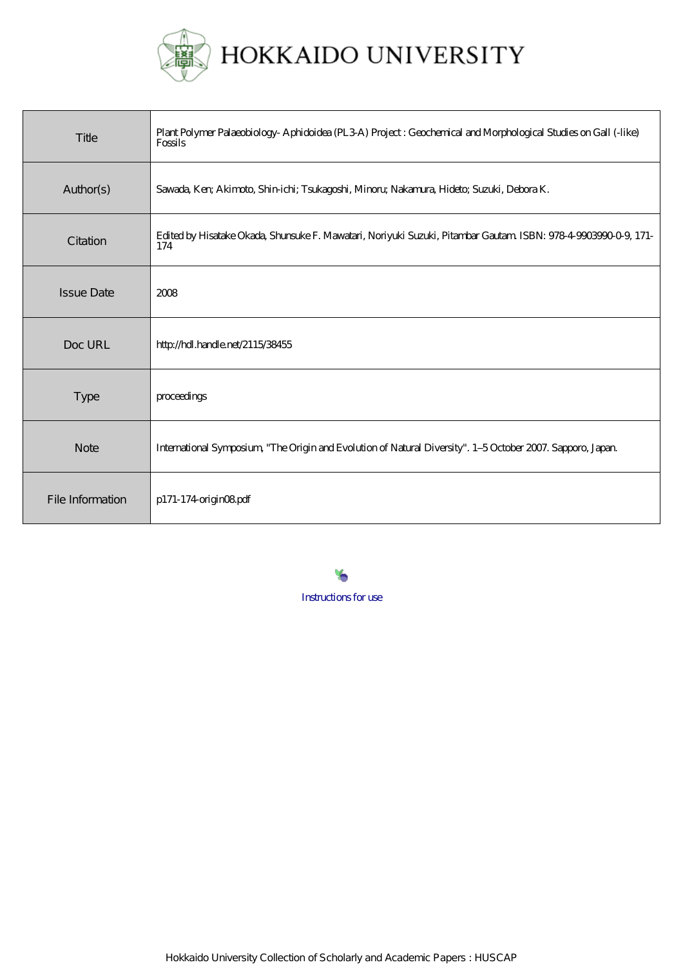

| Title             | Plant Polymer Palaeobiology-Aphidoidea (PL3A) Project : Geochemical and Morphological Studies on Gall (-like)<br>Fossils |
|-------------------|--------------------------------------------------------------------------------------------------------------------------|
| Author(s)         | Sawada, Kerr, Akimoto, Shin-ichi; Tsukagoshi, Minoru; Nakamura, Hideto; Suzuki, Debora K.                                |
| Citation          | Edited by Hisatake Okada, Shunsuke F. Mawatari, Noriyuki Suzuki, Pitambar Gautam ISBN: 978-4-9903990-0-9, 171-<br>174    |
| <b>Issue Date</b> | 2008                                                                                                                     |
| Doc URL           | http://hdl.handle.net/2115/38455                                                                                         |
| Type              | proceedings                                                                                                              |
| <b>Note</b>       | International Symposium, "The Origin and Evolution of Natural Diversity". 1-5 October 2007. Sapporo, Japan.              |
| File Information  | p171-174-originO8pdf                                                                                                     |

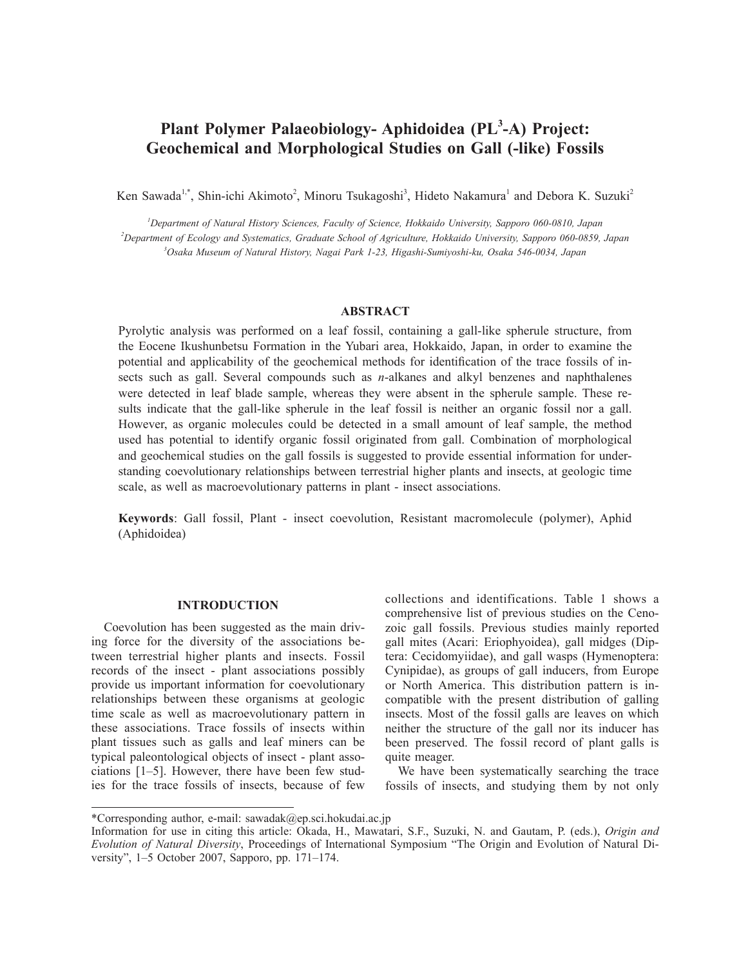# **Plant Polymer Palaeobiology- Aphidoidea (PL<sup>3</sup> -A) Project: Geochemical and Morphological Studies on Gall (-like) Fossils**

Ken Sawada<sup>1,\*</sup>, Shin-ichi Akimoto<sup>2</sup>, Minoru Tsukagoshi<sup>3</sup>, Hideto Nakamura<sup>1</sup> and Debora K. Suzuki<sup>2</sup>

*1 Department of Natural History Sciences, Faculty of Science, Hokkaido University, Sapporo 060-0810, Japan 2 Department of Ecology and Systematics, Graduate School of Agriculture, Hokkaido University, Sapporo 060-0859, Japan 3 Osaka Museum of Natural History, Nagai Park 1-23, Higashi-Sumiyoshi-ku, Osaka 546-0034, Japan*

#### **ABSTRACT**

Pyrolytic analysis was performed on a leaf fossil, containing a gall-like spherule structure, from the Eocene Ikushunbetsu Formation in the Yubari area, Hokkaido, Japan, in order to examine the potential and applicability of the geochemical methods for identification of the trace fossils of insects such as gall. Several compounds such as *n*-alkanes and alkyl benzenes and naphthalenes were detected in leaf blade sample, whereas they were absent in the spherule sample. These results indicate that the gall-like spherule in the leaf fossil is neither an organic fossil nor a gall. However, as organic molecules could be detected in a small amount of leaf sample, the method used has potential to identify organic fossil originated from gall. Combination of morphological and geochemical studies on the gall fossils is suggested to provide essential information for understanding coevolutionary relationships between terrestrial higher plants and insects, at geologic time scale, as well as macroevolutionary patterns in plant - insect associations.

**Keywords**: Gall fossil, Plant - insect coevolution, Resistant macromolecule (polymer), Aphid (Aphidoidea)

#### **INTRODUCTION**

Coevolution has been suggested as the main driving force for the diversity of the associations between terrestrial higher plants and insects. Fossil records of the insect - plant associations possibly provide us important information for coevolutionary relationships between these organisms at geologic time scale as well as macroevolutionary pattern in these associations. Trace fossils of insects within plant tissues such as galls and leaf miners can be typical paleontological objects of insect - plant associations [1–5]. However, there have been few studies for the trace fossils of insects, because of few

collections and identifications. Table 1 shows a comprehensive list of previous studies on the Cenozoic gall fossils. Previous studies mainly reported gall mites (Acari: Eriophyoidea), gall midges (Diptera: Cecidomyiidae), and gall wasps (Hymenoptera: Cynipidae), as groups of gall inducers, from Europe or North America. This distribution pattern is incompatible with the present distribution of galling insects. Most of the fossil galls are leaves on which neither the structure of the gall nor its inducer has been preserved. The fossil record of plant galls is quite meager.

We have been systematically searching the trace fossils of insects, and studying them by not only

<sup>\*</sup>Corresponding author, e-mail: sawadak@ep.sci.hokudai.ac.jp

Information for use in citing this article: Okada, H., Mawatari, S.F., Suzuki, N. and Gautam, P. (eds.), *Origin and Evolution of Natural Diversity*, Proceedings of International Symposium "The Origin and Evolution of Natural Diversity", 1–5 October 2007, Sapporo, pp. 171–174.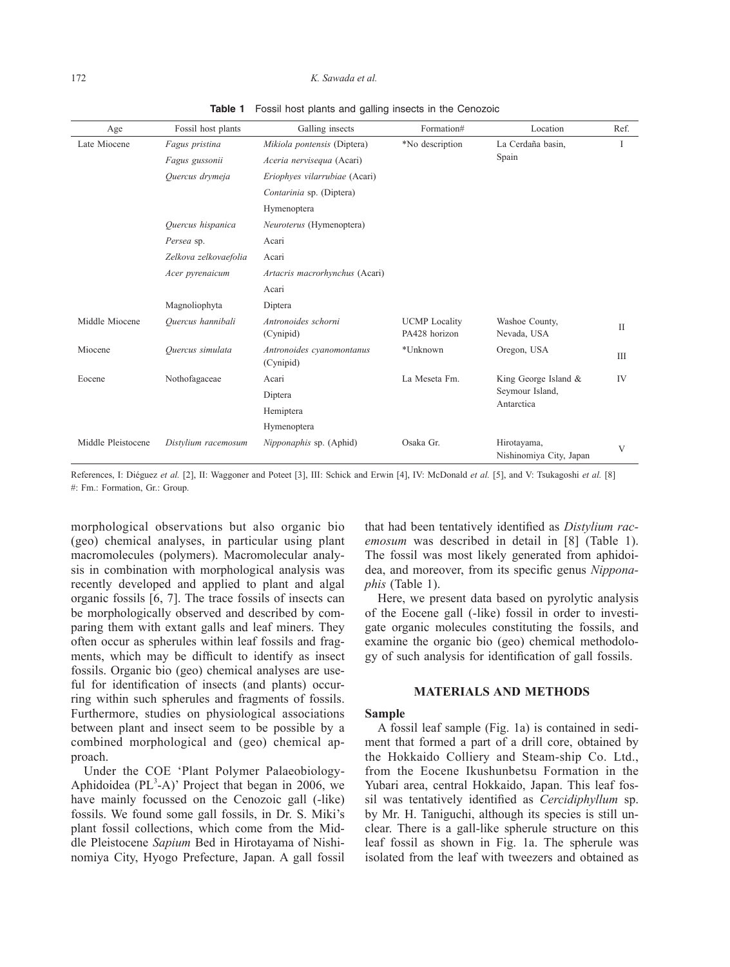#### 172 *K. Sawada et al.*

| Age                | Fossil host plants    | Galling insects                        | Formation#                            | Location                                              | Ref.         |
|--------------------|-----------------------|----------------------------------------|---------------------------------------|-------------------------------------------------------|--------------|
| Late Miocene       | Fagus pristina        | Mikiola pontensis (Diptera)            | *No description                       | La Cerdaña basin,<br>Spain                            | <b>I</b>     |
|                    | Fagus gussonii        | Aceria nervisequa (Acari)              |                                       |                                                       |              |
|                    | Quercus drymeja       | Eriophyes vilarrubiae (Acari)          |                                       |                                                       |              |
|                    |                       | Contarinia sp. (Diptera)               |                                       |                                                       |              |
|                    |                       | Hymenoptera                            |                                       |                                                       |              |
|                    | Quercus hispanica     | Neuroterus (Hymenoptera)               |                                       |                                                       |              |
|                    | Persea sp.            | Acari                                  |                                       |                                                       |              |
|                    | Zelkova zelkovaefolia | Acari                                  |                                       |                                                       |              |
|                    | Acer pyrenaicum       | Artacris macrorhynchus (Acari)         |                                       |                                                       |              |
|                    |                       | Acari                                  |                                       |                                                       |              |
|                    | Magnoliophyta         | Diptera                                |                                       |                                                       |              |
| Middle Miocene     | Quercus hannibali     | Antronoides schorni<br>(Cynipid)       | <b>UCMP</b> Locality<br>PA428 horizon | Washoe County,<br>Nevada, USA                         | $\mathbf{I}$ |
| Miocene            | Quercus simulata      | Antronoides cyanomontanus<br>(Cynipid) | *Unknown                              | Oregon, USA                                           | Ш            |
| Eocene             | Nothofagaceae         | Acari                                  | La Meseta Fm.                         | King George Island &<br>Seymour Island,<br>Antarctica | IV           |
|                    |                       | Diptera                                |                                       |                                                       |              |
|                    |                       | Hemiptera                              |                                       |                                                       |              |
|                    |                       | Hymenoptera                            |                                       |                                                       |              |
| Middle Pleistocene | Distylium racemosum   | Nipponaphis sp. (Aphid)                | Osaka Gr.                             | Hirotayama,<br>Nishinomiya City, Japan                | V            |

**Table 1** Fossil host plants and galling insects in the Cenozoic

References, I: Diéguez *et al.* [2], II: Waggoner and Poteet [3], III: Schick and Erwin [4], IV: McDonald *et al.* [5], and V: Tsukagoshi *et al.* [8] #: Fm.: Formation, Gr.: Group.

morphological observations but also organic bio (geo) chemical analyses, in particular using plant macromolecules (polymers). Macromolecular analysis in combination with morphological analysis was recently developed and applied to plant and algal organic fossils [6, 7]. The trace fossils of insects can be morphologically observed and described by comparing them with extant galls and leaf miners. They often occur as spherules within leaf fossils and fragments, which may be difficult to identify as insect fossils. Organic bio (geo) chemical analyses are useful for identification of insects (and plants) occurring within such spherules and fragments of fossils. Furthermore, studies on physiological associations between plant and insect seem to be possible by a combined morphological and (geo) chemical approach.

Under the COE 'Plant Polymer Palaeobiology-Aphidoidea ( $PL^3$ -A)' Project that began in 2006, we have mainly focussed on the Cenozoic gall (-like) fossils. We found some gall fossils, in Dr. S. Miki's plant fossil collections, which come from the Middle Pleistocene *Sapium* Bed in Hirotayama of Nishinomiya City, Hyogo Prefecture, Japan. A gall fossil

that had been tentatively identified as *Distylium racemosum* was described in detail in [8] (Table 1). The fossil was most likely generated from aphidoidea, and moreover, from its specific genus *Nipponaphis* (Table 1).

Here, we present data based on pyrolytic analysis of the Eocene gall (-like) fossil in order to investigate organic molecules constituting the fossils, and examine the organic bio (geo) chemical methodology of such analysis for identification of gall fossils.

## **MATERIALS AND METHODS**

## **Sample**

A fossil leaf sample (Fig. 1a) is contained in sediment that formed a part of a drill core, obtained by the Hokkaido Colliery and Steam-ship Co. Ltd., from the Eocene Ikushunbetsu Formation in the Yubari area, central Hokkaido, Japan. This leaf fossil was tentatively identified as *Cercidiphyllum* sp. by Mr. H. Taniguchi, although its species is still unclear. There is a gall-like spherule structure on this leaf fossil as shown in Fig. 1a. The spherule was isolated from the leaf with tweezers and obtained as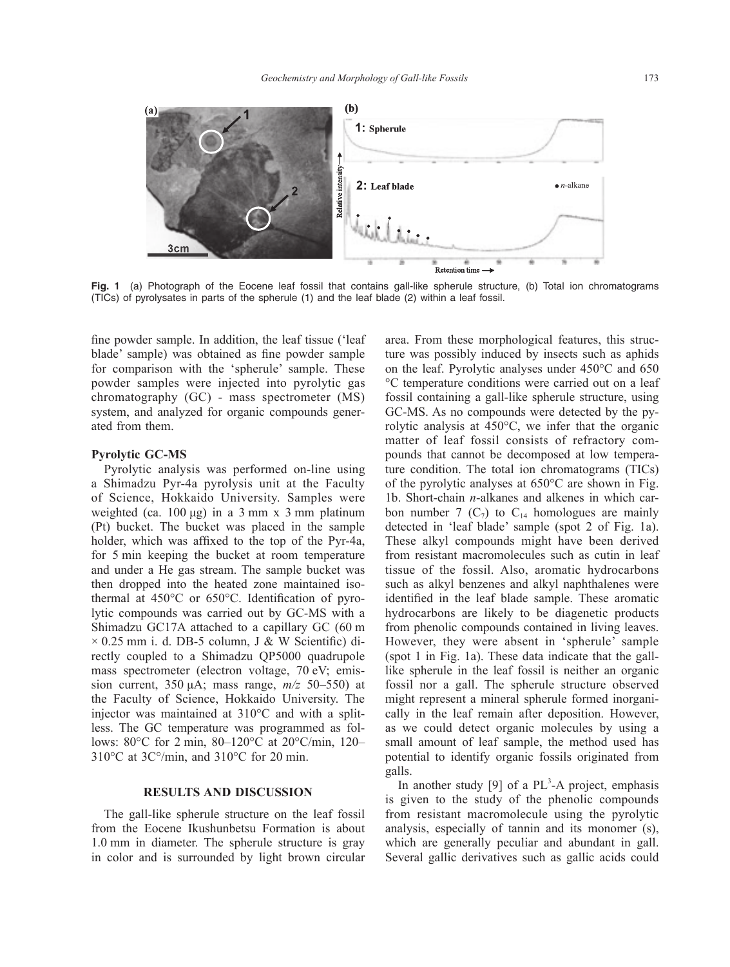

**Fig. 1** (a) Photograph of the Eocene leaf fossil that contains gall-like spherule structure, (b) Total ion chromatograms (TICs) of pyrolysates in parts of the spherule (1) and the leaf blade (2) within a leaf fossil.

fine powder sample. In addition, the leaf tissue ('leaf blade' sample) was obtained as fine powder sample for comparison with the 'spherule' sample. These powder samples were injected into pyrolytic gas chromatography (GC) - mass spectrometer (MS) system, and analyzed for organic compounds generated from them.

## **Pyrolytic GC-MS**

Pyrolytic analysis was performed on-line using a Shimadzu Pyr-4a pyrolysis unit at the Faculty of Science, Hokkaido University. Samples were weighted (ca.  $100 \mu$ g) in a 3 mm x 3 mm platinum (Pt) bucket. The bucket was placed in the sample holder, which was affixed to the top of the Pyr-4a, for 5 min keeping the bucket at room temperature and under a He gas stream. The sample bucket was then dropped into the heated zone maintained isothermal at 450°C or 650°C. Identification of pyrolytic compounds was carried out by GC-MS with a Shimadzu GC17A attached to a capillary GC (60 m  $\times$  0.25 mm i. d. DB-5 column, J & W Scientific) directly coupled to a Shimadzu QP5000 quadrupole mass spectrometer (electron voltage, 70 eV; emission current, 350 μA; mass range, *m/z* 50–550) at the Faculty of Science, Hokkaido University. The injector was maintained at 310°C and with a splitless. The GC temperature was programmed as follows: 80°C for 2 min, 80–120°C at 20°C/min, 120– 310°C at 3C°/min, and 310°C for 20 min.

#### **RESULTS AND DISCUSSION**

The gall-like spherule structure on the leaf fossil from the Eocene Ikushunbetsu Formation is about 1.0 mm in diameter. The spherule structure is gray in color and is surrounded by light brown circular area. From these morphological features, this structure was possibly induced by insects such as aphids on the leaf. Pyrolytic analyses under 450°C and 650 °C temperature conditions were carried out on a leaf fossil containing a gall-like spherule structure, using GC-MS. As no compounds were detected by the pyrolytic analysis at 450°C, we infer that the organic matter of leaf fossil consists of refractory compounds that cannot be decomposed at low temperature condition. The total ion chromatograms (TICs) of the pyrolytic analyses at 650°C are shown in Fig. 1b. Short-chain *n*-alkanes and alkenes in which carbon number 7  $(C_7)$  to  $C_{14}$  homologues are mainly detected in 'leaf blade' sample (spot 2 of Fig. 1a). These alkyl compounds might have been derived from resistant macromolecules such as cutin in leaf tissue of the fossil. Also, aromatic hydrocarbons such as alkyl benzenes and alkyl naphthalenes were identified in the leaf blade sample. These aromatic hydrocarbons are likely to be diagenetic products from phenolic compounds contained in living leaves. However, they were absent in 'spherule' sample (spot 1 in Fig. 1a). These data indicate that the galllike spherule in the leaf fossil is neither an organic fossil nor a gall. The spherule structure observed might represent a mineral spherule formed inorganically in the leaf remain after deposition. However, as we could detect organic molecules by using a small amount of leaf sample, the method used has potential to identify organic fossils originated from galls.

In another study [9] of a  $PL<sup>3</sup> - A$  project, emphasis is given to the study of the phenolic compounds from resistant macromolecule using the pyrolytic analysis, especially of tannin and its monomer (s), which are generally peculiar and abundant in gall. Several gallic derivatives such as gallic acids could